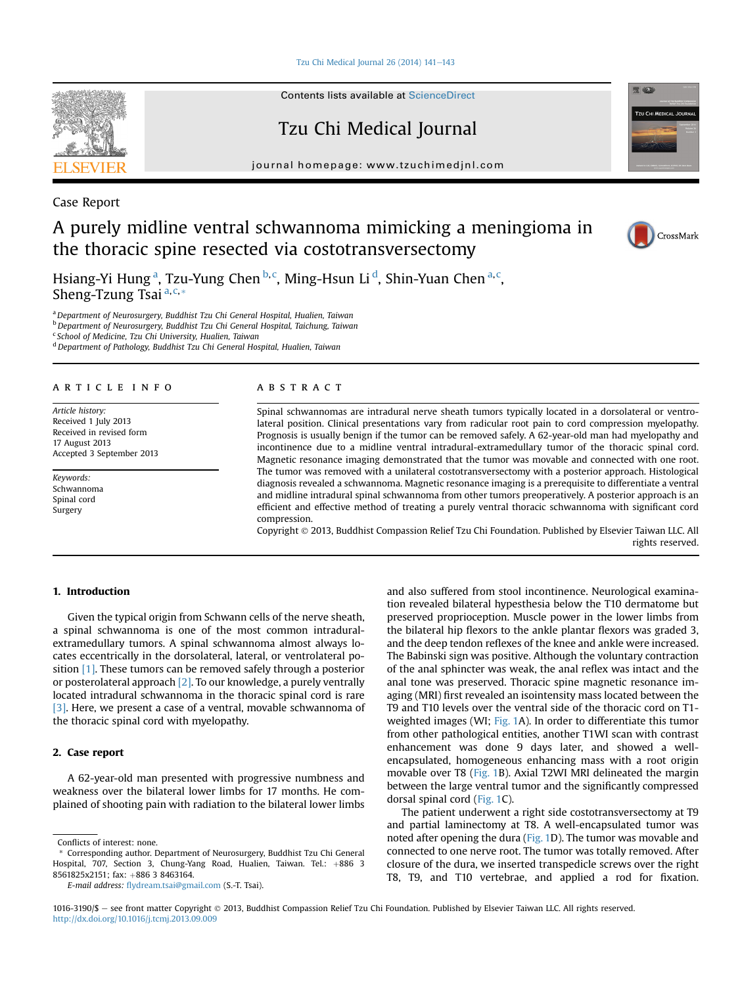Tzu Chi Medical Journal  $26(2014)$  141-[143](http://dx.doi.org/10.1016/j.tcmj.2013.09.009)

Contents lists available at [ScienceDirect](www.sciencedirect.com/science/journal/10163190)

# Tzu Chi Medical Journal

journal homepage: [www.tzuchimedjnl.com](http://www.tzuchimedjnl.com)



Case Report

## A purely midline ventral schwannoma mimicking a meningioma in the thoracic spine resected via costotransversectomy



Hsiang-Yi Hung<sup>a</sup>, Tzu-Yung Chen <sup>b,c</sup>, Ming-Hsun Li <sup>d</sup>, Shin-Yuan Chen <sup>a,c</sup>, Sheng-Tzung Tsai  $a,c,*$ 

a Department of Neurosurgery, Buddhist Tzu Chi General Hospital, Hualien, Taiwan b Department of Neurosurgery, Buddhist Tzu Chi General Hospital, Taichung, Taiwan <sup>c</sup> School of Medicine, Tzu Chi University, Hualien, Taiwan

<sup>d</sup> Department of Pathology, Buddhist Tzu Chi General Hospital, Hualien, Taiwan

#### article info

Article history: Received 1 July 2013 Received in revised form 17 August 2013 Accepted 3 September 2013

Keywords: Schwannoma Spinal cord Surgery

#### **ABSTRACT**

Spinal schwannomas are intradural nerve sheath tumors typically located in a dorsolateral or ventrolateral position. Clinical presentations vary from radicular root pain to cord compression myelopathy. Prognosis is usually benign if the tumor can be removed safely. A 62-year-old man had myelopathy and incontinence due to a midline ventral intradural-extramedullary tumor of the thoracic spinal cord. Magnetic resonance imaging demonstrated that the tumor was movable and connected with one root. The tumor was removed with a unilateral costotransversectomy with a posterior approach. Histological diagnosis revealed a schwannoma. Magnetic resonance imaging is a prerequisite to differentiate a ventral and midline intradural spinal schwannoma from other tumors preoperatively. A posterior approach is an efficient and effective method of treating a purely ventral thoracic schwannoma with significant cord compression.

Copyright 2013, Buddhist Compassion Relief Tzu Chi Foundation. Published by Elsevier Taiwan LLC. All rights reserved.

#### 1. Introduction

Given the typical origin from Schwann cells of the nerve sheath, a spinal schwannoma is one of the most common intraduralextramedullary tumors. A spinal schwannoma almost always locates eccentrically in the dorsolateral, lateral, or ventrolateral position [\[1\]](#page-2-0). These tumors can be removed safely through a posterior or posterolateral approach [\[2\].](#page-2-0) To our knowledge, a purely ventrally located intradural schwannoma in the thoracic spinal cord is rare [\[3\]](#page-2-0). Here, we present a case of a ventral, movable schwannoma of the thoracic spinal cord with myelopathy.

### 2. Case report

A 62-year-old man presented with progressive numbness and weakness over the bilateral lower limbs for 17 months. He complained of shooting pain with radiation to the bilateral lower limbs

E-mail address: fl[ydream.tsai@gmail.com](mailto:flydream.tsai@gmail.com) (S.-T. Tsai).

and also suffered from stool incontinence. Neurological examination revealed bilateral hypesthesia below the T10 dermatome but preserved proprioception. Muscle power in the lower limbs from the bilateral hip flexors to the ankle plantar flexors was graded 3, and the deep tendon reflexes of the knee and ankle were increased. The Babinski sign was positive. Although the voluntary contraction of the anal sphincter was weak, the anal reflex was intact and the anal tone was preserved. Thoracic spine magnetic resonance imaging (MRI) first revealed an isointensity mass located between the T9 and T10 levels over the ventral side of the thoracic cord on T1- weighted images (WI; [Fig. 1](#page-1-0)A). In order to differentiate this tumor from other pathological entities, another T1WI scan with contrast enhancement was done 9 days later, and showed a wellencapsulated, homogeneous enhancing mass with a root origin movable over T8 [\(Fig. 1](#page-1-0)B). Axial T2WI MRI delineated the margin between the large ventral tumor and the significantly compressed dorsal spinal cord [\(Fig. 1](#page-1-0)C).

The patient underwent a right side costotransversectomy at T9 and partial laminectomy at T8. A well-encapsulated tumor was noted after opening the dura [\(Fig. 1](#page-1-0)D). The tumor was movable and connected to one nerve root. The tumor was totally removed. After closure of the dura, we inserted transpedicle screws over the right T8, T9, and T10 vertebrae, and applied a rod for fixation.

Conflicts of interest: none.

<sup>\*</sup> Corresponding author. Department of Neurosurgery, Buddhist Tzu Chi General Hospital, 707, Section 3, Chung-Yang Road, Hualien, Taiwan. Tel.: +886 3 8561825x2151; fax: +886 3 8463164.

<sup>1016-3190/\$ -</sup> see front matter Copyright © 2013, Buddhist Compassion Relief Tzu Chi Foundation. Published by Elsevier Taiwan LLC. All rights reserved. <http://dx.doi.org/10.1016/j.tcmj.2013.09.009>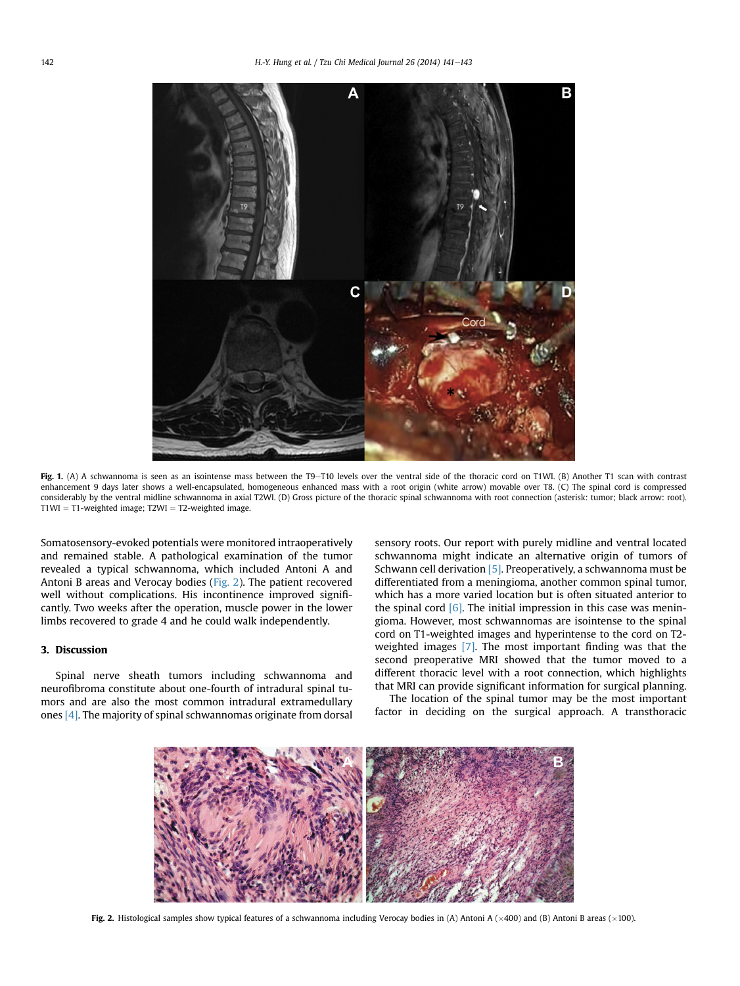<span id="page-1-0"></span>

Fig. 1. (A) A schwannoma is seen as an isointense mass between the T9-T10 levels over the ventral side of the thoracic cord on T1WI. (B) Another T1 scan with contrast enhancement 9 days later shows a well-encapsulated, homogeneous enhanced mass with a root origin (white arrow) movable over T8. (C) The spinal cord is compressed considerably by the ventral midline schwannoma in axial T2WI. (D) Gross picture of the thoracic spinal schwannoma with root connection (asterisk: tumor; black arrow: root).  $T1WI = T1$ -weighted image;  $T2WI = T2$ -weighted image.

Somatosensory-evoked potentials were monitored intraoperatively and remained stable. A pathological examination of the tumor revealed a typical schwannoma, which included Antoni A and Antoni B areas and Verocay bodies (Fig. 2). The patient recovered well without complications. His incontinence improved significantly. Two weeks after the operation, muscle power in the lower limbs recovered to grade 4 and he could walk independently.

## 3. Discussion

Spinal nerve sheath tumors including schwannoma and neurofibroma constitute about one-fourth of intradural spinal tumors and are also the most common intradural extramedullary ones [\[4\].](#page-2-0) The majority of spinal schwannomas originate from dorsal sensory roots. Our report with purely midline and ventral located schwannoma might indicate an alternative origin of tumors of Schwann cell derivation [\[5\].](#page-2-0) Preoperatively, a schwannoma must be differentiated from a meningioma, another common spinal tumor, which has a more varied location but is often situated anterior to the spinal cord  $[6]$ . The initial impression in this case was meningioma. However, most schwannomas are isointense to the spinal cord on T1-weighted images and hyperintense to the cord on T2 weighted images [\[7\]](#page-2-0). The most important finding was that the second preoperative MRI showed that the tumor moved to a different thoracic level with a root connection, which highlights that MRI can provide significant information for surgical planning.

The location of the spinal tumor may be the most important factor in deciding on the surgical approach. A transthoracic



**Fig. 2.** Histological samples show typical features of a schwannoma including Verocay bodies in (A) Antoni A ( $\times$ 400) and (B) Antoni B areas ( $\times$ 100).